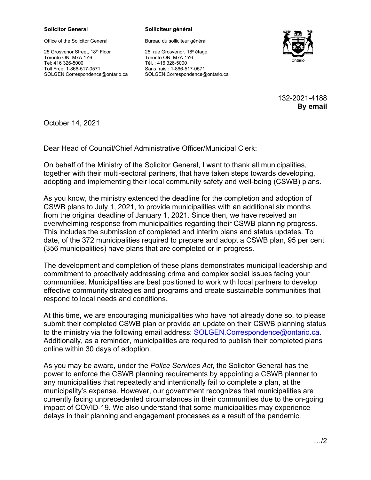## **Solicitor General Solliciteur général**

Office of the Solicitor General

25 Grosvenor Street, 18th Floor Toronto ON M7A 1Y6 Tel: 416 326-5000 Toll Free: 1-866-517-0571 SOLGEN.Correspondence@ontario.ca

Bureau du solliciteur général

25, rue Grosvenor, 18e étage Toronto ON M7A 1Y6 Tél. : 416 326-5000 Sans frais : 1-866-517-0571 SOLGEN.Correspondence@ontario.ca



132-2021-4188 **By email**

October 14, 2021

Dear Head of Council/Chief Administrative Officer/Municipal Clerk:

On behalf of the Ministry of the Solicitor General, I want to thank all municipalities, together with their multi-sectoral partners, that have taken steps towards developing, adopting and implementing their local community safety and well-being (CSWB) plans.

As you know, the ministry extended the deadline for the completion and adoption of CSWB plans to July 1, 2021, to provide municipalities with an additional six months from the original deadline of January 1, 2021. Since then, we have received an overwhelming response from municipalities regarding their CSWB planning progress. This includes the submission of completed and interim plans and status updates. To date, of the 372 municipalities required to prepare and adopt a CSWB plan, 95 per cent (356 municipalities) have plans that are completed or in progress.

The development and completion of these plans demonstrates municipal leadership and commitment to proactively addressing crime and complex social issues facing your communities. Municipalities are best positioned to work with local partners to develop effective community strategies and programs and create sustainable communities that respond to local needs and conditions.

At this time, we are encouraging municipalities who have not already done so, to please submit their completed CSWB plan or provide an update on their CSWB planning status to the ministry via the following email address: [SOLGEN.Correspondence@ontario.ca.](mailto:SOLGEN.Correspondence@ontario.ca) Additionally, as a reminder, municipalities are required to publish their completed plans online within 30 days of adoption.

As you may be aware, under the *Police Services Act*, the Solicitor General has the power to enforce the CSWB planning requirements by appointing a CSWB planner to any municipalities that repeatedly and intentionally fail to complete a plan, at the municipality's expense. However, our government recognizes that municipalities are currently facing unprecedented circumstances in their communities due to the on-going impact of COVID-19. We also understand that some municipalities may experience delays in their planning and engagement processes as a result of the pandemic.